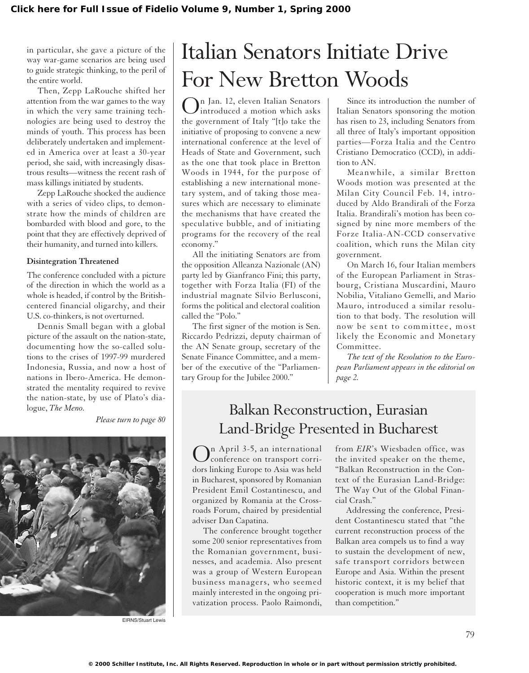in particular, she gave a picture of the way war-game scenarios are being used to guide strategic thinking, to the peril of the entire world.

Then, Zepp LaRouche shifted her attention from the war games to the way in which the very same training technologies are being used to destroy the minds of youth. This process has been deliberately undertaken and implemented in America over at least a 30-year period, she said, with increasingly disastrous results—witness the recent rash of mass killings initiated by students.

Zepp LaRouche shocked the audience with a series of video clips, to demonstrate how the minds of children are bombarded with blood and gore, to the point that they are effectively deprived of their humanity, and turned into killers.

### **Disintegration Threatened**

The conference concluded with a picture of the direction in which the world as a whole is headed, if control by the Britishcentered financial oligarchy, and their U.S. co-thinkers, is not overturned.

Dennis Small began with a global picture of the assault on the nation-state, documenting how the so-called solutions to the crises of 1997-99 murdered Indonesia, Russia, and now a host of nations in Ibero-America. He demonstrated the mentality required to revive the nation-state, by use of Plato's dialogue, *The Meno.*

*Please turn to page 80*



EIRNS/Stuart Lewis

# Italian Senators Initiate Drive For New Bretton Woods

On Jan. 12, eleven Italian Senators introduced a motion which asks the government of Italy "[t]o take the initiative of proposing to convene a new international conference at the level of Heads of State and Government, such as the one that took place in Bretton Woods in 1944, for the purpose of establishing a new international monetary system, and of taking those measures which are necessary to eliminate the mechanisms that have created the speculative bubble, and of initiating programs for the recovery of the real economy."

All the initiating Senators are from the opposition Alleanza Nazionale (AN) party led by Gianfranco Fini; this party, together with Forza Italia (FI) of the industrial magnate Silvio Berlusconi, forms the political and electoral coalition called the "Polo."

The first signer of the motion is Sen. Riccardo Pedrizzi, deputy chairman of the AN Senate group, secretary of the Senate Finance Committee, and a member of the executive of the "Parliamentary Group for the Jubilee 2000."

Since its introduction the number of Italian Senators sponsoring the motion has risen to 23, including Senators from all three of Italy's important opposition parties—Forza Italia and the Centro Cristiano Democratico (CCD), in addition to AN.

Meanwhile, a similar Bretton Woods motion was presented at the Milan City Council Feb. 14, introduced by Aldo Brandirali of the Forza Italia. Brandirali's motion has been cosigned by nine more members of the Forze Italia-AN-CCD conservative coalition, which runs the Milan city government.

On March 16, four Italian members of the European Parliament in Strasbourg, Cristiana Muscardini, Mauro Nobilia, Vitaliano Gemelli, and Mario Mauro, introduced a similar resolution to that body. The resolution will now be sent to committee, most likely the Economic and Monetary Committee.

*The text of the Resolution to the European Parliament appears in the editorial on page 2.*

## Balkan Reconstruction, Eurasian Land-Bridge Presented in Bucharest

n April 3-5, an international conference on transport corridors linking Europe to Asia was held in Bucharest, sponsored by Romanian President Emil Costantinescu, and organized by Romania at the Crossroads Forum, chaired by presidential adviser Dan Capatina.

The conference brought together some 200 senior representatives from the Romanian government, businesses, and academia. Also present was a group of Western European business managers, who seemed mainly interested in the ongoing privatization process. Paolo Raimondi, from *EIR*'s Wiesbaden office, was the invited speaker on the theme, "Balkan Reconstruction in the Context of the Eurasian Land-Bridge: The Way Out of the Global Financial Crash."

Addressing the conference, President Costantinescu stated that "the current reconstruction process of the Balkan area compels us to find a way to sustain the development of new, safe transport corridors between Europe and Asia. Within the present historic context, it is my belief that cooperation is much more important than competition."